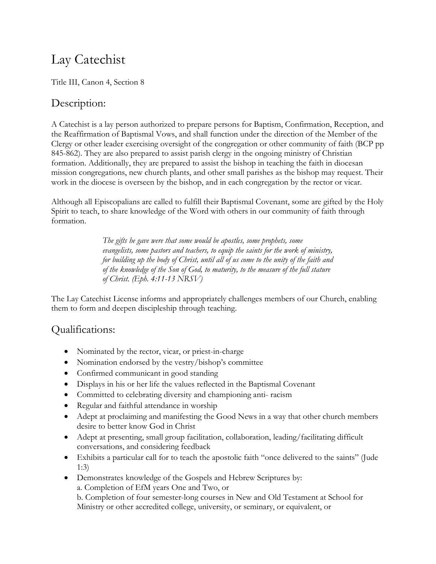# Lay Catechist

Title III, Canon 4, Section 8

## Description:

A Catechist is a lay person authorized to prepare persons for Baptism, Confirmation, Reception, and the Reaffirmation of Baptismal Vows, and shall function under the direction of the Member of the Clergy or other leader exercising oversight of the congregation or other community of faith (BCP pp 845-862). They are also prepared to assist parish clergy in the ongoing ministry of Christian formation. Additionally, they are prepared to assist the bishop in teaching the faith in diocesan mission congregations, new church plants, and other small parishes as the bishop may request. Their work in the diocese is overseen by the bishop, and in each congregation by the rector or vicar.

Although all Episcopalians are called to fulfill their Baptismal Covenant, some are gifted by the Holy Spirit to teach, to share knowledge of the Word with others in our community of faith through formation.

> *The gifts he gave were that some would be apostles, some prophets, some evangelists, some pastors and teachers, to equip the saints for the work of ministry, for building up the body of Christ, until all of us come to the unity of the faith and of the knowledge of the Son of God, to maturity, to the measure of the full stature of Christ. (Eph. 4:11-13 NRSV)*

The Lay Catechist License informs and appropriately challenges members of our Church, enabling them to form and deepen discipleship through teaching.

## Qualifications:

- Nominated by the rector, vicar, or priest-in-charge
- Nomination endorsed by the vestry/bishop's committee
- Confirmed communicant in good standing
- Displays in his or her life the values reflected in the Baptismal Covenant
- Committed to celebrating diversity and championing anti- racism
- Regular and faithful attendance in worship
- Adept at proclaiming and manifesting the Good News in a way that other church members desire to better know God in Christ
- Adept at presenting, small group facilitation, collaboration, leading/facilitating difficult conversations, and considering feedback
- Exhibits a particular call for to teach the apostolic faith "once delivered to the saints" (Jude 1:3)
- Demonstrates knowledge of the Gospels and Hebrew Scriptures by: a. Completion of EfM years One and Two, or b. Completion of four semester-long courses in New and Old Testament at School for Ministry or other accredited college, university, or seminary, or equivalent, or